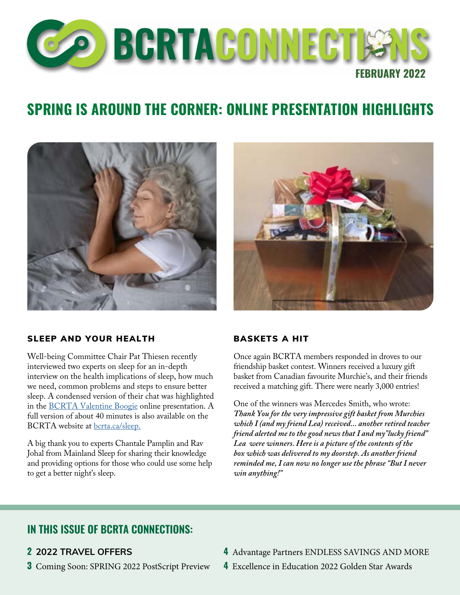

## **SPRING IS AROUND THE CORNER: ONLINE PRESENTATION HIGHLIGHTS**





#### SLEEP AND YOUR HEALTH

Well-being Committee Chair Pat Thiesen recently interviewed two experts on sleep for an in-depth interview on the health implications of sleep, how much we need, common problems and steps to ensure better sleep. A condensed version of their chat was highlighted in the [BCRTA Valentine Boogie](https://bcrta.ca/valentine) online presentation. A full version of about 40 minutes is also available on the BCRTA website at [bcrta.ca/sleep](http://bcrta.ca/sleep).

A big thank you to experts Chantale Pamplin and Rav Johal from Mainland Sleep for sharing their knowledge and providing options for those who could use some help to get a better night's sleep.

#### BASKETS A HIT

Once again BCRTA members responded in droves to our friendship basket contest. Winners received a luxury gift basket from Canadian favourite Murchie's, and their friends received a matching gift. There were nearly 3,000 entries!

One of the winners was Mercedes Smith, who wrote: *Thank You for the very impressive gift basket from Murchies which I (and my friend Lea) received... another retired teacher friend alerted me to the good news that I and my"lucky friend" Lea were winners. Here is a picture of the contents of the box which was delivered to my doorstep. As another friend reminded me, I can now no longer use the phrase "But I never win anything!"* 

### **IN THIS ISSUE OF BCRTA CONNECTIONS:**

#### **2 2022 TRAVEL OFFERS**

**3** Coming Soon: SPRING 2022 PostScript Preview

- **4** Advantage Partners ENDLESS SAVINGS AND MORE
- **4** Excellence in Education 2022 Golden Star Awards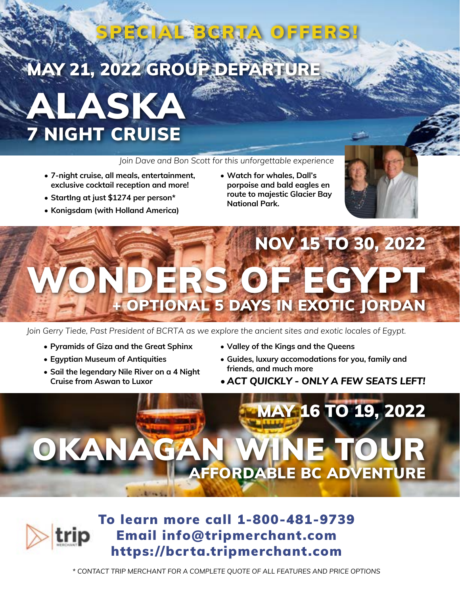# **MAY 21, 2022 GROUP DEPARTU**

# ALASKA 7 NIGHT CRUISE

*Join Dave and Bon Scott for this unforgettable experience*

SPECIAL BCRTA OFFERS!

- **• 7-night cruise, all meals, entertainment, exclusive cocktail reception and more!**
- **• StartIng at just \$1274 per person\***
- **• Konigsdam (with Holland America)**
- **• Watch for whales, Dall's porpoise and bald eagles en route to majestic Glacier Bay National Park.**



# NOV 15 TO 30, 2022 ERS OF EGYP **OPTIONAL 5 DAYS IN EXOTIC JORDAN**

*Join Gerry Tiede, Past President of BCRTA as we explore the ancient sites and exotic locales of Egypt.*

- **• Pyramids of Giza and the Great Sphinx**
- **• Egyptian Museum of Antiquities**
- **• Sail the legendary Nile River on a 4 Night Cruise from Aswan to Luxor**
- **• Valley of the Kings and the Queens**
- **• Guides, luxury accomodations for you, family and friends, and much more**
- *• ACT QUICKLY ONLY A FEW SEATS LEFT!*

# MAY 16 TO 19, 2022 OKANAGAN WINE TOUR AFFORDABLE BC ADVENTURE



*\* CONTACT TRIP MERCHANT FOR A COMPLETE QUOTE OF ALL FEATURES AND PRICE OPTIONS*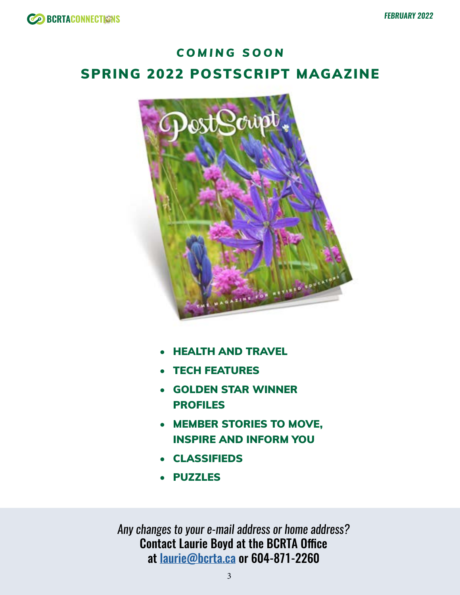## *COMING SOON* SPRING 2022 POSTSCRIPT MAGAZINE



- HEALTH AND TRAVEL
- **TECH FEATURES**
- GOLDEN STAR WINNER PROFILES
- MEMBER STORIES TO MOVE, INSPIRE AND INFORM YOU
- CLASSIFIEDS
- PUZZLES

*Any changes to your e-mail address or home address?* Contact Laurie Boyd at the BCRTA Office at [laurie@bcrta.ca](mailto:laurie%40bcrta.ca?subject=BCRTA%20Member%20Info%20Update) or 604-871-2260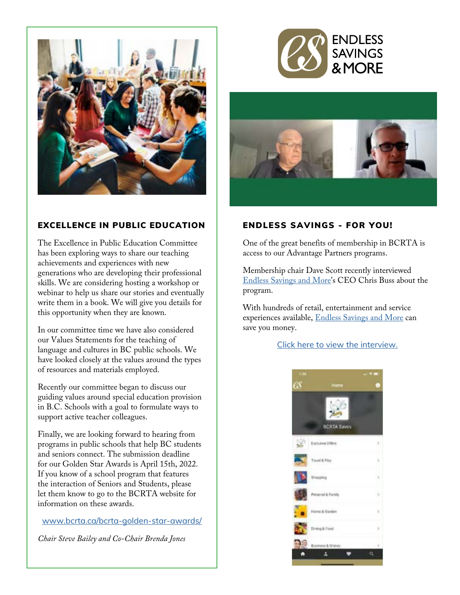

### EXCELLENCE IN PUBLIC EDUCATION

The Excellence in Public Education Committee has been exploring ways to share our teaching achievements and experiences with new generations who are developing their professional skills. We are considering hosting a workshop or webinar to help us share our stories and eventually write them in a book. We will give you details for this opportunity when they are known.

In our committee time we have also considered our Values Statements for the teaching of language and cultures in BC public schools. We have looked closely at the values around the types of resources and materials employed.

Recently our committee began to discuss our guiding values around special education provision in B.C. Schools with a goal to formulate ways to support active teacher colleagues.

Finally, we are looking forward to hearing from programs in public schools that help BC students and seniors connect. The submission deadline for our Golden Star Awards is April 15th, 2022. If you know of a school program that features the interaction of Seniors and Students, please let them know to go to the BCRTA website for information on these awards.

[www.bcrta.ca/bcrta-golden-star-awards/](https://www.bcrta.ca/bcrta-golden-star-awards/)

*Chair Steve Bailey and Co-Chair Brenda Jones*





#### ENDLESS SAVINGS - FOR YOU!

One of the great benefits of membership in BCRTA is access to our Advantage Partners programs.

Membership chair Dave Scott recently interviewed [Endless Savings and More'](https://bcrta.ca/ESM)s CEO Chris Buss about the program.

With hundreds of retail, entertainment and service experiences available, [Endless Savings and More](https://bcrta.ca/ESM) can save you money.

#### [Click here to view the interview.](https://youtu.be/3RFlqTZ6vBQ?t=1197)